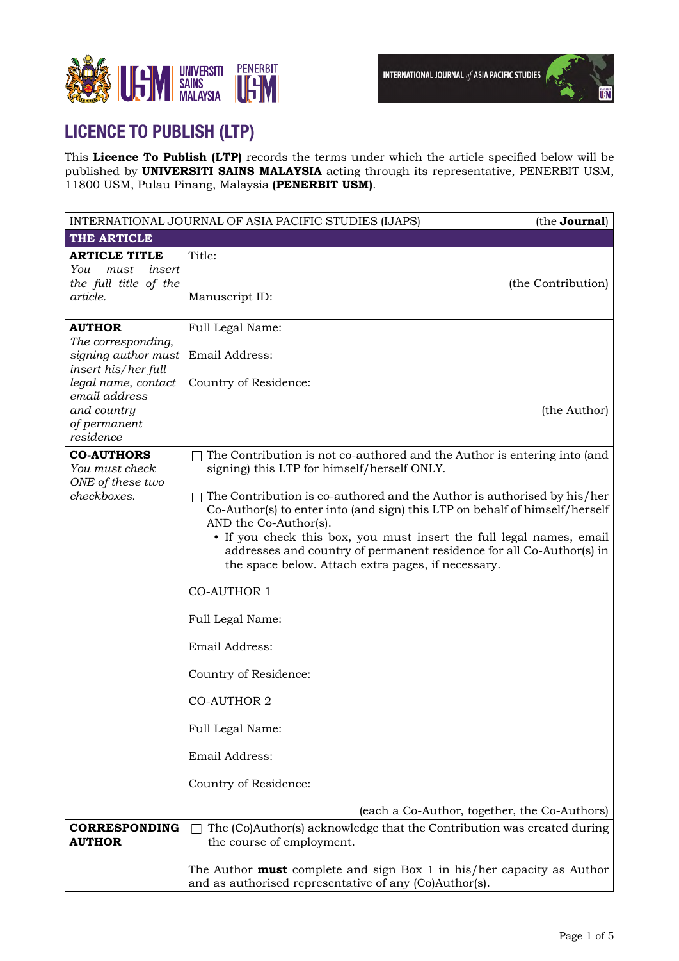

# **LICENCE TO PUBLISH (LTP)**

This **Licence To Publish (LTP)** records the terms under which the article specified below will be published by **UNIVERSITI SAINS MALAYSIA** acting through its representative, PENERBIT USM, 11800 USM, Pulau Pinang, Malaysia **(PENERBIT USM)**.

|                                                                                    | INTERNATIONAL JOURNAL OF ASIA PACIFIC STUDIES (IJAPS)                                                                                                                                                                                                                                                      | (the <b>Journal</b> ) |
|------------------------------------------------------------------------------------|------------------------------------------------------------------------------------------------------------------------------------------------------------------------------------------------------------------------------------------------------------------------------------------------------------|-----------------------|
| THE ARTICLE                                                                        |                                                                                                                                                                                                                                                                                                            |                       |
| <b>ARTICLE TITLE</b><br>You<br>insert<br>must<br>the full title of the<br>article. | Title:<br>Manuscript ID:                                                                                                                                                                                                                                                                                   | (the Contribution)    |
| <b>AUTHOR</b><br>The corresponding,<br>signing author must                         | Full Legal Name:<br>Email Address:                                                                                                                                                                                                                                                                         |                       |
| insert his/her full<br>legal name, contact<br>email address<br>and country         | Country of Residence:                                                                                                                                                                                                                                                                                      | (the Author)          |
| of permanent<br>residence<br><b>CO-AUTHORS</b>                                     | The Contribution is not co-authored and the Author is entering into (and                                                                                                                                                                                                                                   |                       |
| You must check<br>ONE of these two<br>checkboxes.                                  | signing) this LTP for himself/herself ONLY.<br>The Contribution is co-authored and the Author is authorised by his/her                                                                                                                                                                                     |                       |
|                                                                                    | Co-Author(s) to enter into (and sign) this LTP on behalf of himself/herself<br>AND the Co-Author(s).<br>• If you check this box, you must insert the full legal names, email<br>addresses and country of permanent residence for all Co-Author(s) in<br>the space below. Attach extra pages, if necessary. |                       |
|                                                                                    | <b>CO-AUTHOR 1</b>                                                                                                                                                                                                                                                                                         |                       |
|                                                                                    | Full Legal Name:                                                                                                                                                                                                                                                                                           |                       |
|                                                                                    | Email Address:<br>Country of Residence:                                                                                                                                                                                                                                                                    |                       |
|                                                                                    | <b>CO-AUTHOR 2</b>                                                                                                                                                                                                                                                                                         |                       |
|                                                                                    | Full Legal Name:                                                                                                                                                                                                                                                                                           |                       |
|                                                                                    | Email Address:                                                                                                                                                                                                                                                                                             |                       |
|                                                                                    | Country of Residence:<br>(each a Co-Author, together, the Co-Authors)                                                                                                                                                                                                                                      |                       |
| <b>CORRESPONDING</b><br><b>AUTHOR</b>                                              | The (Co)Author(s) acknowledge that the Contribution was created during<br>the course of employment.                                                                                                                                                                                                        |                       |
|                                                                                    | The Author <b>must</b> complete and sign Box 1 in his/her capacity as Author<br>and as authorised representative of any (Co)Author(s).                                                                                                                                                                     |                       |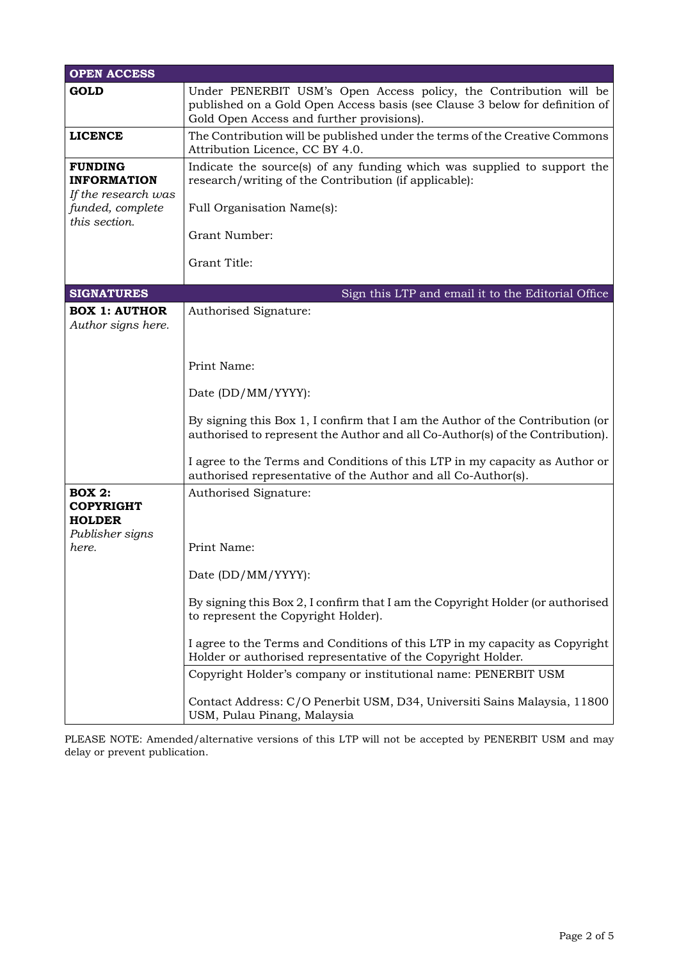| <b>OPEN ACCESS</b>                                                                               |                                                                                                                                                                                                 |  |
|--------------------------------------------------------------------------------------------------|-------------------------------------------------------------------------------------------------------------------------------------------------------------------------------------------------|--|
| <b>GOLD</b>                                                                                      | Under PENERBIT USM's Open Access policy, the Contribution will be<br>published on a Gold Open Access basis (see Clause 3 below for definition of<br>Gold Open Access and further provisions).   |  |
| <b>LICENCE</b>                                                                                   | The Contribution will be published under the terms of the Creative Commons<br>Attribution Licence, CC BY 4.0.                                                                                   |  |
| <b>FUNDING</b><br><b>INFORMATION</b><br>If the research was<br>funded, complete<br>this section. | Indicate the source(s) of any funding which was supplied to support the<br>research/writing of the Contribution (if applicable):<br>Full Organisation Name(s):<br>Grant Number:<br>Grant Title: |  |
| <b>SIGNATURES</b><br>Sign this LTP and email it to the Editorial Office                          |                                                                                                                                                                                                 |  |
| <b>BOX 1: AUTHOR</b><br>Author signs here.                                                       | Authorised Signature:                                                                                                                                                                           |  |
|                                                                                                  | Print Name:                                                                                                                                                                                     |  |
|                                                                                                  | Date (DD/MM/YYYY):                                                                                                                                                                              |  |
|                                                                                                  | By signing this Box 1, I confirm that I am the Author of the Contribution (or<br>authorised to represent the Author and all Co-Author(s) of the Contribution).                                  |  |
|                                                                                                  | I agree to the Terms and Conditions of this LTP in my capacity as Author or<br>authorised representative of the Author and all Co-Author(s).                                                    |  |
| <b>BOX 2:</b><br><b>COPYRIGHT</b><br><b>HOLDER</b><br>Publisher signs                            | Authorised Signature:                                                                                                                                                                           |  |
| here.                                                                                            | Print Name:                                                                                                                                                                                     |  |
|                                                                                                  | Date (DD/MM/YYYY):                                                                                                                                                                              |  |
|                                                                                                  | By signing this Box 2, I confirm that I am the Copyright Holder (or authorised<br>to represent the Copyright Holder).                                                                           |  |
|                                                                                                  | I agree to the Terms and Conditions of this LTP in my capacity as Copyright<br>Holder or authorised representative of the Copyright Holder.                                                     |  |
|                                                                                                  | Copyright Holder's company or institutional name: PENERBIT USM                                                                                                                                  |  |
|                                                                                                  | Contact Address: C/O Penerbit USM, D34, Universiti Sains Malaysia, 11800<br>USM, Pulau Pinang, Malaysia                                                                                         |  |

PLEASE NOTE: Amended/alternative versions of this LTP will not be accepted by PENERBIT USM and may delay or prevent publication.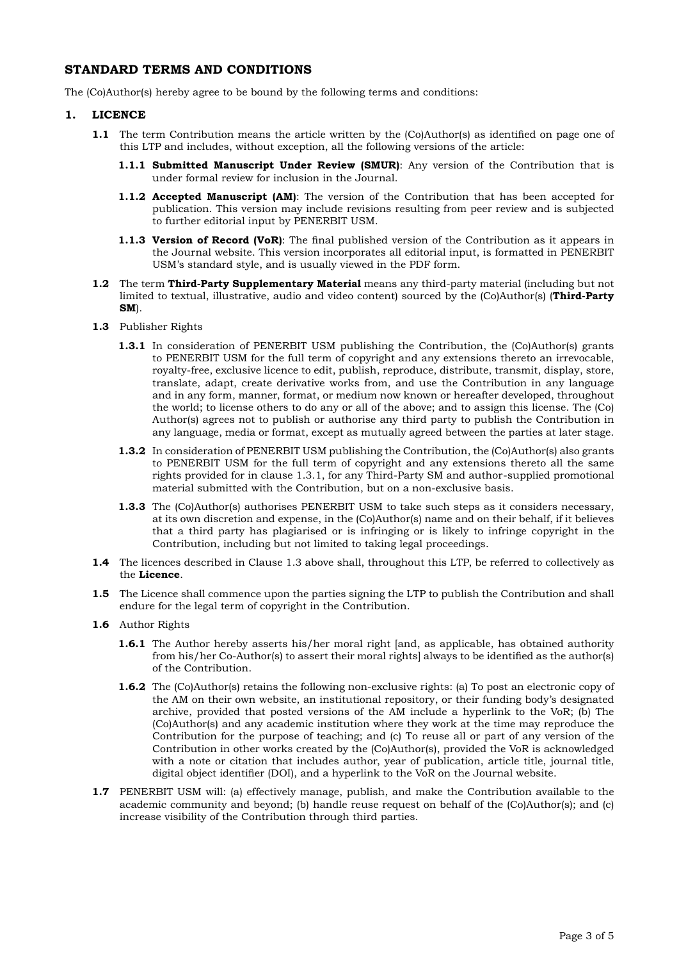# **STANDARD TERMS AND CONDITIONS**

The (Co)Author(s) hereby agree to be bound by the following terms and conditions:

### **1. LICENCE**

- **1.1** The term Contribution means the article written by the (Co)Author(s) as identified on page one of this LTP and includes, without exception, all the following versions of the article:
	- **1.1.1 Submitted Manuscript Under Review (SMUR)**: Any version of the Contribution that is under formal review for inclusion in the Journal.
	- **1.1.2 Accepted Manuscript (AM)**: The version of the Contribution that has been accepted for publication. This version may include revisions resulting from peer review and is subjected to further editorial input by PENERBIT USM.
	- **1.1.3 Version of Record (VoR)**: The final published version of the Contribution as it appears in the Journal website. This version incorporates all editorial input, is formatted in PENERBIT USM's standard style, and is usually viewed in the PDF form.
- **1.2** The term **Third-Party Supplementary Material** means any third-party material (including but not limited to textual, illustrative, audio and video content) sourced by the (Co)Author(s) (**Third-Party SM**).
- **1.3** Publisher Rights
	- **1.3.1** In consideration of PENERBIT USM publishing the Contribution, the (Co)Author(s) grants to PENERBIT USM for the full term of copyright and any extensions thereto an irrevocable, royalty-free, exclusive licence to edit, publish, reproduce, distribute, transmit, display, store, translate, adapt, create derivative works from, and use the Contribution in any language and in any form, manner, format, or medium now known or hereafter developed, throughout the world; to license others to do any or all of the above; and to assign this license. The (Co) Author(s) agrees not to publish or authorise any third party to publish the Contribution in any language, media or format, except as mutually agreed between the parties at later stage.
	- **1.3.2** In consideration of PENERBIT USM publishing the Contribution, the (Co)Author(s) also grants to PENERBIT USM for the full term of copyright and any extensions thereto all the same rights provided for in clause 1.3.1, for any Third-Party SM and author-supplied promotional material submitted with the Contribution, but on a non-exclusive basis.
	- **1.3.3** The (Co)Author(s) authorises PENERBIT USM to take such steps as it considers necessary, at its own discretion and expense, in the (Co)Author(s) name and on their behalf, if it believes that a third party has plagiarised or is infringing or is likely to infringe copyright in the Contribution, including but not limited to taking legal proceedings.
- **1.4** The licences described in Clause 1.3 above shall, throughout this LTP, be referred to collectively as the **Licence**.
- **1.5** The Licence shall commence upon the parties signing the LTP to publish the Contribution and shall endure for the legal term of copyright in the Contribution.
- **1.6** Author Rights
	- **1.6.1** The Author hereby asserts his/her moral right [and, as applicable, has obtained authority from his/her Co-Author(s) to assert their moral rights] always to be identified as the author(s) of the Contribution.
	- **1.6.2** The (Co)Author(s) retains the following non-exclusive rights: (a) To post an electronic copy of the AM on their own website, an institutional repository, or their funding body's designated archive, provided that posted versions of the AM include a hyperlink to the VoR; (b) The (Co)Author(s) and any academic institution where they work at the time may reproduce the Contribution for the purpose of teaching; and (c) To reuse all or part of any version of the Contribution in other works created by the (Co)Author(s), provided the VoR is acknowledged with a note or citation that includes author, year of publication, article title, journal title, digital object identifier (DOI), and a hyperlink to the VoR on the Journal website.
- **1.7** PENERBIT USM will: (a) effectively manage, publish, and make the Contribution available to the academic community and beyond; (b) handle reuse request on behalf of the (Co)Author(s); and (c) increase visibility of the Contribution through third parties.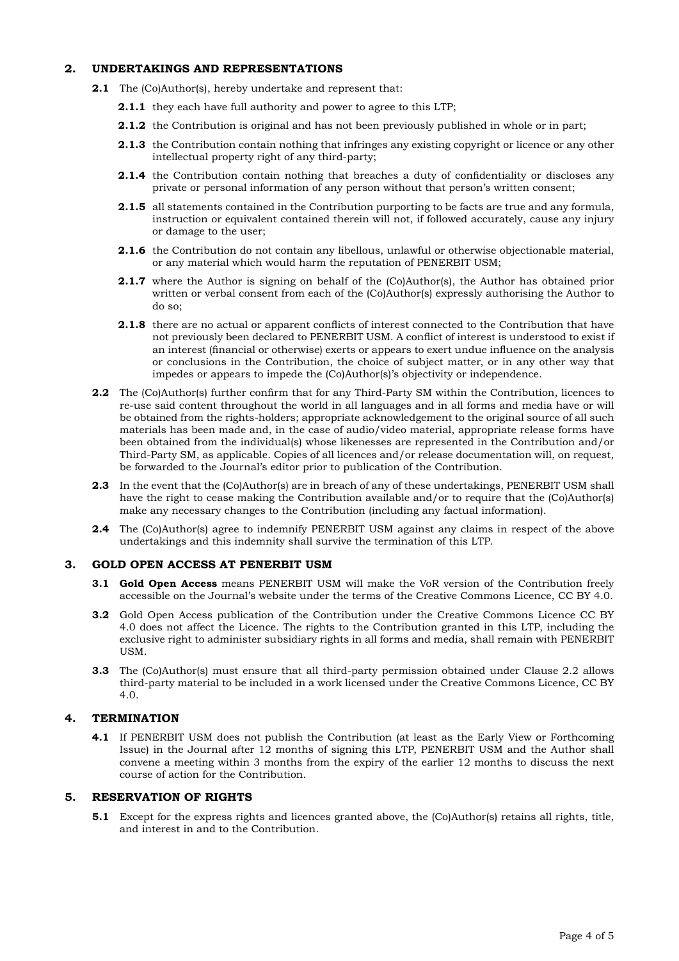## **2. UNDERTAKINGS AND REPRESENTATIONS**

- **2.1** The (Co)Author(s), hereby undertake and represent that:
	- **2.1.1** they each have full authority and power to agree to this LTP;
	- **2.1.2** the Contribution is original and has not been previously published in whole or in part;
	- **2.1.3** the Contribution contain nothing that infringes any existing copyright or licence or any other intellectual property right of any third-party;
	- **2.1.4** the Contribution contain nothing that breaches a duty of confidentiality or discloses any private or personal information of any person without that person's written consent;
	- **2.1.5** all statements contained in the Contribution purporting to be facts are true and any formula, instruction or equivalent contained therein will not, if followed accurately, cause any injury or damage to the user;
	- **2.1.6** the Contribution do not contain any libellous, unlawful or otherwise objectionable material, or any material which would harm the reputation of PENERBIT USM;
	- **2.1.7** where the Author is signing on behalf of the (Co)Author(s), the Author has obtained prior written or verbal consent from each of the (Co)Author(s) expressly authorising the Author to do so;
	- **2.1.8** there are no actual or apparent conflicts of interest connected to the Contribution that have not previously been declared to PENERBIT USM. A conflict of interest is understood to exist if an interest (financial or otherwise) exerts or appears to exert undue influence on the analysis or conclusions in the Contribution, the choice of subject matter, or in any other way that impedes or appears to impede the (Co)Author(s)'s objectivity or independence.
- **2.2** The (Co)Author(s) further confirm that for any Third-Party SM within the Contribution, licences to re-use said content throughout the world in all languages and in all forms and media have or will be obtained from the rights-holders; appropriate acknowledgement to the original source of all such materials has been made and, in the case of audio/video material, appropriate release forms have been obtained from the individual(s) whose likenesses are represented in the Contribution and/or Third-Party SM, as applicable. Copies of all licences and/or release documentation will, on request, be forwarded to the Journal's editor prior to publication of the Contribution.
- **2.3** In the event that the (Co)Author(s) are in breach of any of these undertakings, PENERBIT USM shall have the right to cease making the Contribution available and/or to require that the (Co)Author(s) make any necessary changes to the Contribution (including any factual information).
- **2.4** The (Co)Author(s) agree to indemnify PENERBIT USM against any claims in respect of the above undertakings and this indemnity shall survive the termination of this LTP.

### **3. GOLD OPEN ACCESS AT PENERBIT USM**

- **3.1 Gold Open Access** means PENERBIT USM will make the VoR version of the Contribution freely accessible on the Journal's website under the terms of the Creative Commons Licence, CC BY 4.0.
- **3.2** Gold Open Access publication of the Contribution under the Creative Commons Licence CC BY 4.0 does not affect the Licence. The rights to the Contribution granted in this LTP, including the exclusive right to administer subsidiary rights in all forms and media, shall remain with PENERBIT **IISM.**
- **3.3** The (Co)Author(s) must ensure that all third-party permission obtained under Clause 2.2 allows third-party material to be included in a work licensed under the Creative Commons Licence, CC BY 4.0.

# **4. TERMINATION**

**4.1** If PENERBIT USM does not publish the Contribution (at least as the Early View or Forthcoming Issue) in the Journal after 12 months of signing this LTP, PENERBIT USM and the Author shall convene a meeting within 3 months from the expiry of the earlier 12 months to discuss the next course of action for the Contribution.

### **5. RESERVATION OF RIGHTS**

**5.1** Except for the express rights and licences granted above, the (Co)Author(s) retains all rights, title, and interest in and to the Contribution.